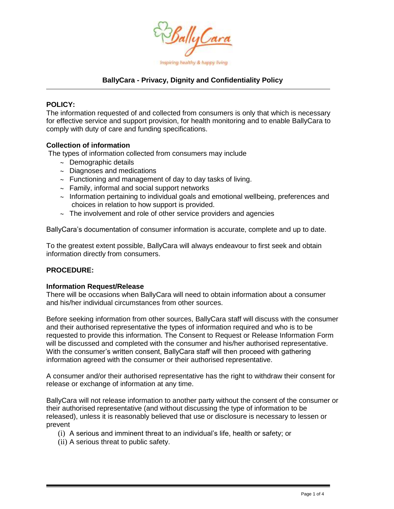

## **BallyCara - Privacy, Dignity and Confidentiality Policy**

#### **POLICY:**

The information requested of and collected from consumers is only that which is necessary for effective service and support provision, for health monitoring and to enable BallyCara to comply with duty of care and funding specifications.

#### **Collection of information**

The types of information collected from consumers may include

- $\sim$  Demographic details
- $\sim$  Diagnoses and medications
- $\sim$  Functioning and management of day to day tasks of living.
- $\sim$  Family, informal and social support networks
- $\sim$  Information pertaining to individual goals and emotional wellbeing, preferences and choices in relation to how support is provided.
- $\sim$  The involvement and role of other service providers and agencies

BallyCara's documentation of consumer information is accurate, complete and up to date.

To the greatest extent possible, BallyCara will always endeavour to first seek and obtain information directly from consumers.

### **PROCEDURE:**

#### **Information Request/Release**

There will be occasions when BallyCara will need to obtain information about a consumer and his/her individual circumstances from other sources.

Before seeking information from other sources, BallyCara staff will discuss with the consumer and their authorised representative the types of information required and who is to be requested to provide this information. The Consent to Request or Release Information Form will be discussed and completed with the consumer and his/her authorised representative. With the consumer's written consent, BallyCara staff will then proceed with gathering information agreed with the consumer or their authorised representative.

A consumer and/or their authorised representative has the right to withdraw their consent for release or exchange of information at any time.

BallyCara will not release information to another party without the consent of the consumer or their authorised representative (and without discussing the type of information to be released), unless it is reasonably believed that use or disclosure is necessary to lessen or prevent

- (i) A serious and imminent threat to an individual's life, health or safety; or
- (ii) A serious threat to public safety.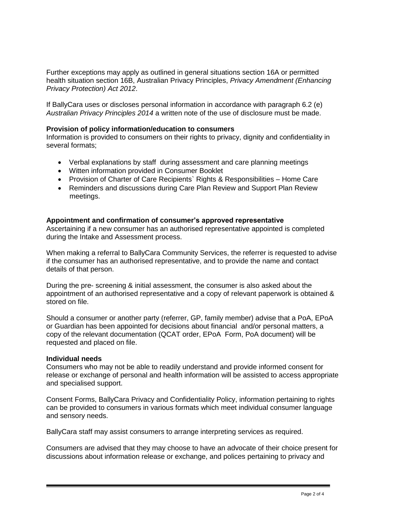Further exceptions may apply as outlined in general situations section 16A or permitted health situation section 16B, Australian Privacy Principles, *Privacy Amendment (Enhancing Privacy Protection) Act 2012*.

If BallyCara uses or discloses personal information in accordance with paragraph 6.2 (e) *Australian Privacy Principles 2014* a written note of the use of disclosure must be made.

## **Provision of policy information/education to consumers**

Information is provided to consumers on their rights to privacy, dignity and confidentiality in several formats;

- Verbal explanations by staff during assessment and care planning meetings
- Witten information provided in Consumer Booklet
- Provision of Charter of Care Recipients` Rights & Responsibilities Home Care
- Reminders and discussions during Care Plan Review and Support Plan Review meetings.

### **Appointment and confirmation of consumer's approved representative**

Ascertaining if a new consumer has an authorised representative appointed is completed during the Intake and Assessment process.

When making a referral to BallyCara Community Services, the referrer is requested to advise if the consumer has an authorised representative, and to provide the name and contact details of that person.

During the pre- screening & initial assessment, the consumer is also asked about the appointment of an authorised representative and a copy of relevant paperwork is obtained & stored on file.

Should a consumer or another party (referrer, GP, family member) advise that a PoA, EPoA or Guardian has been appointed for decisions about financial and/or personal matters, a copy of the relevant documentation (QCAT order, EPoA Form, PoA document) will be requested and placed on file.

### **Individual needs**

Consumers who may not be able to readily understand and provide informed consent for release or exchange of personal and health information will be assisted to access appropriate and specialised support.

Consent Forms, BallyCara Privacy and Confidentiality Policy, information pertaining to rights can be provided to consumers in various formats which meet individual consumer language and sensory needs.

BallyCara staff may assist consumers to arrange interpreting services as required.

Consumers are advised that they may choose to have an advocate of their choice present for discussions about information release or exchange, and polices pertaining to privacy and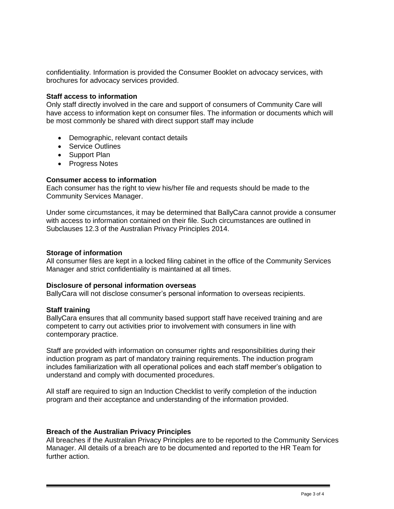confidentiality. Information is provided the Consumer Booklet on advocacy services, with brochures for advocacy services provided.

#### **Staff access to information**

Only staff directly involved in the care and support of consumers of Community Care will have access to information kept on consumer files. The information or documents which will be most commonly be shared with direct support staff may include

- Demographic, relevant contact details
- Service Outlines
- Support Plan
- Progress Notes

## **Consumer access to information**

Each consumer has the right to view his/her file and requests should be made to the Community Services Manager.

Under some circumstances, it may be determined that BallyCara cannot provide a consumer with access to information contained on their file. Such circumstances are outlined in Subclauses 12.3 of the Australian Privacy Principles 2014.

### **Storage of information**

All consumer files are kept in a locked filing cabinet in the office of the Community Services Manager and strict confidentiality is maintained at all times.

### **Disclosure of personal information overseas**

BallyCara will not disclose consumer's personal information to overseas recipients.

### **Staff training**

BallyCara ensures that all community based support staff have received training and are competent to carry out activities prior to involvement with consumers in line with contemporary practice.

Staff are provided with information on consumer rights and responsibilities during their induction program as part of mandatory training requirements. The induction program includes familiarization with all operational polices and each staff member's obligation to understand and comply with documented procedures.

All staff are required to sign an Induction Checklist to verify completion of the induction program and their acceptance and understanding of the information provided.

## **Breach of the Australian Privacy Principles**

All breaches if the Australian Privacy Principles are to be reported to the Community Services Manager. All details of a breach are to be documented and reported to the HR Team for further action.